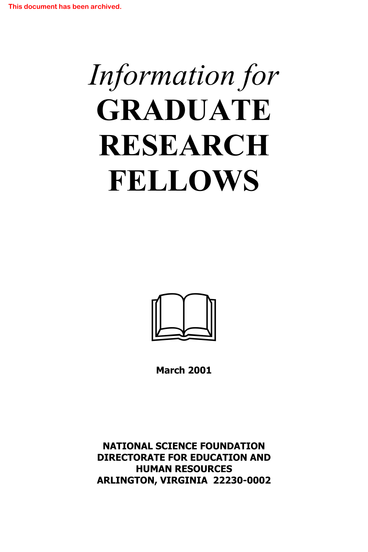# *Information for* **GRADUATE RESEARCH FELLOWS**



**March 2001**

**NATIONAL SCIENCE FOUNDATION DIRECTORATE FOR EDUCATION AND HUMAN RESOURCES ARLINGTON, VIRGINIA 22230-0002**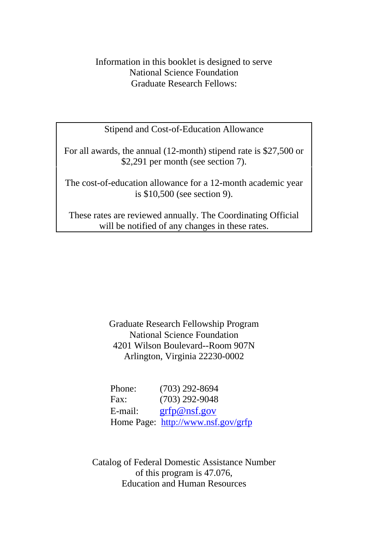## Information in this booklet is designed to serve National Science Foundation Graduate Research Fellows:

Stipend and Cost-of-Education Allowance

For all awards, the annual (12-month) stipend rate is \$27,500 or \$2,291 per month (see section 7).

The cost-of-education allowance for a 12-month academic year is \$10,500 (see section 9).

These rates are reviewed annually. The Coordinating Official will be notified of any changes in these rates.

> Graduate Research Fellowship Program National Science Foundation 4201 Wilson Boulevard--Room 907N Arlington, Virginia 22230-0002

| Phone:  | $(703)$ 292-8694                   |
|---------|------------------------------------|
| Fax:    | $(703)$ 292-9048                   |
| E-mail: | grfp@nsf.gov                       |
|         | Home Page: http://www.nsf.gov/grfp |

Catalog of Federal Domestic Assistance Number of this program is 47.076, Education and Human Resources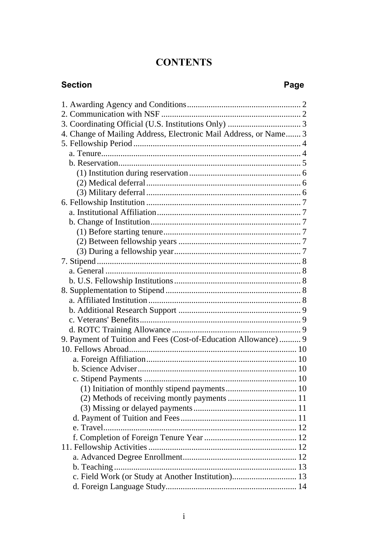## **CONTENTS**

## **Section**

## Page

| 4. Change of Mailing Address, Electronic Mail Address, or Name 3 |  |
|------------------------------------------------------------------|--|
|                                                                  |  |
|                                                                  |  |
|                                                                  |  |
|                                                                  |  |
|                                                                  |  |
|                                                                  |  |
|                                                                  |  |
|                                                                  |  |
|                                                                  |  |
|                                                                  |  |
|                                                                  |  |
|                                                                  |  |
|                                                                  |  |
|                                                                  |  |
|                                                                  |  |
|                                                                  |  |
|                                                                  |  |
|                                                                  |  |
|                                                                  |  |
|                                                                  |  |
| 9. Payment of Tuition and Fees (Cost-of-Education Allowance)  9  |  |
|                                                                  |  |
|                                                                  |  |
|                                                                  |  |
|                                                                  |  |
|                                                                  |  |
|                                                                  |  |
|                                                                  |  |
|                                                                  |  |
|                                                                  |  |
|                                                                  |  |
|                                                                  |  |
|                                                                  |  |
|                                                                  |  |
| c. Field Work (or Study at Another Institution) 13               |  |
|                                                                  |  |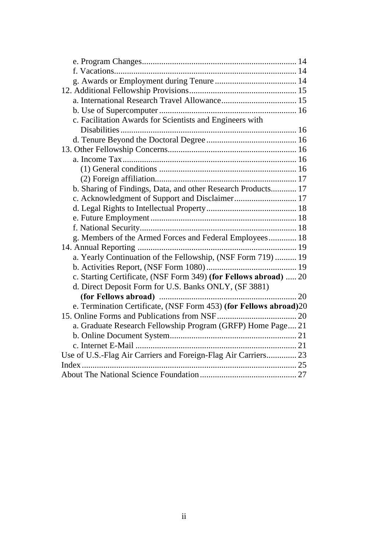| c. Facilitation Awards for Scientists and Engineers with          |  |
|-------------------------------------------------------------------|--|
|                                                                   |  |
|                                                                   |  |
|                                                                   |  |
|                                                                   |  |
|                                                                   |  |
|                                                                   |  |
| b. Sharing of Findings, Data, and other Research Products 17      |  |
| c. Acknowledgment of Support and Disclaimer 17                    |  |
|                                                                   |  |
|                                                                   |  |
|                                                                   |  |
| g. Members of the Armed Forces and Federal Employees 18           |  |
|                                                                   |  |
| a. Yearly Continuation of the Fellowship, (NSF Form 719)  19      |  |
|                                                                   |  |
| c. Starting Certificate, (NSF Form 349) (for Fellows abroad)  20  |  |
| d. Direct Deposit Form for U.S. Banks ONLY, (SF 3881)             |  |
|                                                                   |  |
| e. Termination Certificate, (NSF Form 453) (for Fellows abroad)20 |  |
|                                                                   |  |
| a. Graduate Research Fellowship Program (GRFP) Home Page 21       |  |
|                                                                   |  |
|                                                                   |  |
| Use of U.S.-Flag Air Carriers and Foreign-Flag Air Carriers 23    |  |
|                                                                   |  |
|                                                                   |  |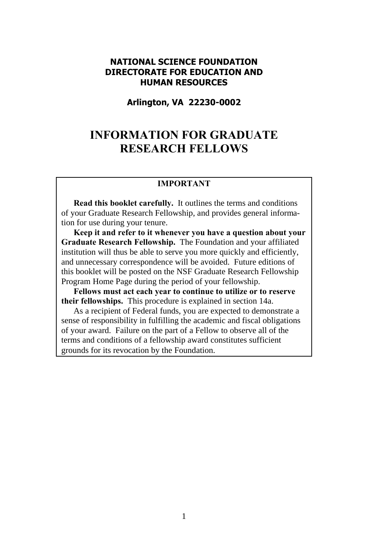#### **NATIONAL SCIENCE FOUNDATION DIRECTORATE FOR EDUCATION AND HUMAN RESOURCES**

**Arlington, VA 22230-0002**

## **INFORMATION FOR GRADUATE RESEARCH FELLOWS**

#### **IMPORTANT**

**Read this booklet carefully.** It outlines the terms and conditions of your Graduate Research Fellowship, and provides general information for use during your tenure.

**Keep it and refer to it whenever you have a question about your Graduate Research Fellowship.** The Foundation and your affiliated institution will thus be able to serve you more quickly and efficiently, and unnecessary correspondence will be avoided. Future editions of this booklet will be posted on the NSF Graduate Research Fellowship Program Home Page during the period of your fellowship.

**Fellows must act each year to continue to utilize or to reserve their fellowships.** This procedure is explained in section 14a.

As a recipient of Federal funds, you are expected to demonstrate a sense of responsibility in fulfilling the academic and fiscal obligations of your award. Failure on the part of a Fellow to observe all of the terms and conditions of a fellowship award constitutes sufficient grounds for its revocation by the Foundation.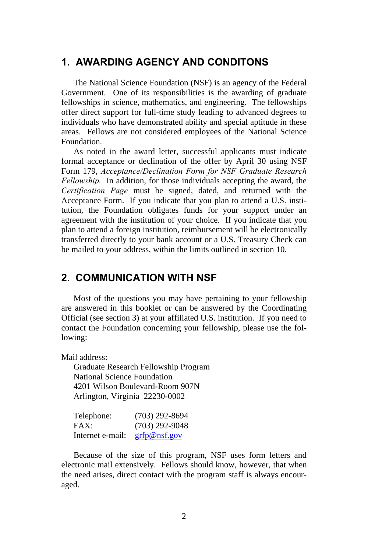## **1. AWARDING AGENCY AND CONDITONS**

The National Science Foundation (NSF) is an agency of the Federal Government. One of its responsibilities is the awarding of graduate fellowships in science, mathematics, and engineering. The fellowships offer direct support for full-time study leading to advanced degrees to individuals who have demonstrated ability and special aptitude in these areas. Fellows are not considered employees of the National Science Foundation.

As noted in the award letter, successful applicants must indicate formal acceptance or declination of the offer by April 30 using NSF Form 179, *Acceptance/Declination Form for NSF Graduate Research Fellowship.* In addition, for those individuals accepting the award, the *Certification Page* must be signed, dated, and returned with the Acceptance Form. If you indicate that you plan to attend a U.S. institution, the Foundation obligates funds for your support under an agreement with the institution of your choice. If you indicate that you plan to attend a foreign institution, reimbursement will be electronically transferred directly to your bank account or a U.S. Treasury Check can be mailed to your address, within the limits outlined in section 10.

## **2. COMMUNICATION WITH NSF**

Most of the questions you may have pertaining to your fellowship are answered in this booklet or can be answered by the Coordinating Official (see section 3) at your affiliated U.S. institution. If you need to contact the Foundation concerning your fellowship, please use the following:

Mail address:

Graduate Research Fellowship Program National Science Foundation 4201 Wilson Boulevard-Room 907N Arlington, Virginia 22230-0002

| Telephone:       | $(703)$ 292-8694 |
|------------------|------------------|
| FAX:             | $(703)$ 292-9048 |
| Internet e-mail: | grfp@nsf.gov     |

Because of the size of this program, NSF uses form letters and electronic mail extensively. Fellows should know, however, that when the need arises, direct contact with the program staff is always encouraged.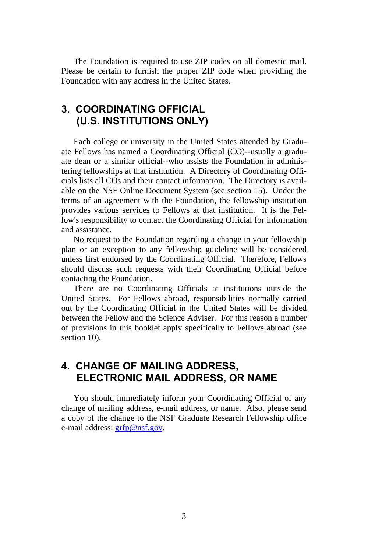The Foundation is required to use ZIP codes on all domestic mail. Please be certain to furnish the proper ZIP code when providing the Foundation with any address in the United States.

## **3. COORDINATING OFFICIAL (U.S. INSTITUTIONS ONLY)**

Each college or university in the United States attended by Graduate Fellows has named a Coordinating Official (CO)--usually a graduate dean or a similar official--who assists the Foundation in administering fellowships at that institution. A Directory of Coordinating Officials lists all COs and their contact information. The Directory is available on the NSF Online Document System (see section 15). Under the terms of an agreement with the Foundation, the fellowship institution provides various services to Fellows at that institution. It is the Fellow's responsibility to contact the Coordinating Official for information and assistance.

No request to the Foundation regarding a change in your fellowship plan or an exception to any fellowship guideline will be considered unless first endorsed by the Coordinating Official. Therefore, Fellows should discuss such requests with their Coordinating Official before contacting the Foundation.

There are no Coordinating Officials at institutions outside the United States. For Fellows abroad, responsibilities normally carried out by the Coordinating Official in the United States will be divided between the Fellow and the Science Adviser. For this reason a number of provisions in this booklet apply specifically to Fellows abroad (see section 10).

## **4. CHANGE OF MAILING ADDRESS, ELECTRONIC MAIL ADDRESS, OR NAME**

You should immediately inform your Coordinating Official of any change of mailing address, e-mail address, or name. Also, please send a copy of the change to the NSF Graduate Research Fellowship office e-mail address: [grfp@nsf.gov.](mailto:grfp@nsf.gov)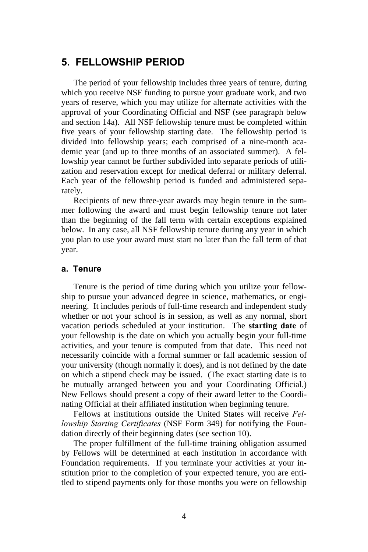## **5. FELLOWSHIP PERIOD**

The period of your fellowship includes three years of tenure, during which you receive NSF funding to pursue your graduate work, and two years of reserve, which you may utilize for alternate activities with the approval of your Coordinating Official and NSF (see paragraph below and section 14a). All NSF fellowship tenure must be completed within five years of your fellowship starting date. The fellowship period is divided into fellowship years; each comprised of a nine-month academic year (and up to three months of an associated summer). A fellowship year cannot be further subdivided into separate periods of utilization and reservation except for medical deferral or military deferral. Each year of the fellowship period is funded and administered separately.

Recipients of new three-year awards may begin tenure in the summer following the award and must begin fellowship tenure not later than the beginning of the fall term with certain exceptions explained below. In any case, all NSF fellowship tenure during any year in which you plan to use your award must start no later than the fall term of that year.

#### **a. Tenure**

Tenure is the period of time during which you utilize your fellowship to pursue your advanced degree in science, mathematics, or engineering. It includes periods of full-time research and independent study whether or not your school is in session, as well as any normal, short vacation periods scheduled at your institution. The **starting date** of your fellowship is the date on which you actually begin your full-time activities, and your tenure is computed from that date. This need not necessarily coincide with a formal summer or fall academic session of your university (though normally it does), and is not defined by the date on which a stipend check may be issued. (The exact starting date is to be mutually arranged between you and your Coordinating Official.) New Fellows should present a copy of their award letter to the Coordinating Official at their affiliated institution when beginning tenure.

Fellows at institutions outside the United States will receive *Fellowship Starting Certificates* (NSF Form 349) for notifying the Foundation directly of their beginning dates (see section 10).

The proper fulfillment of the full-time training obligation assumed by Fellows will be determined at each institution in accordance with Foundation requirements. If you terminate your activities at your institution prior to the completion of your expected tenure, you are entitled to stipend payments only for those months you were on fellowship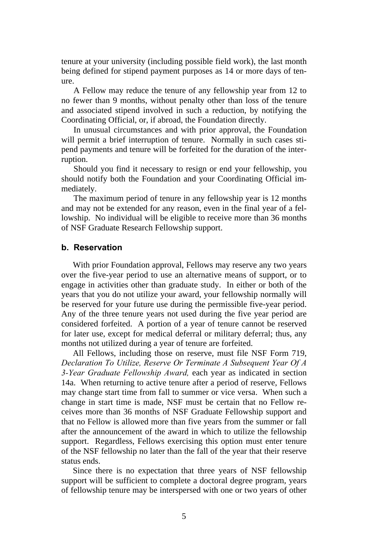tenure at your university (including possible field work), the last month being defined for stipend payment purposes as 14 or more days of tenure.

A Fellow may reduce the tenure of any fellowship year from 12 to no fewer than 9 months, without penalty other than loss of the tenure and associated stipend involved in such a reduction, by notifying the Coordinating Official, or, if abroad, the Foundation directly.

In unusual circumstances and with prior approval, the Foundation will permit a brief interruption of tenure. Normally in such cases stipend payments and tenure will be forfeited for the duration of the interruption.

Should you find it necessary to resign or end your fellowship, you should notify both the Foundation and your Coordinating Official immediately.

The maximum period of tenure in any fellowship year is 12 months and may not be extended for any reason, even in the final year of a fellowship. No individual will be eligible to receive more than 36 months of NSF Graduate Research Fellowship support.

#### **b. Reservation**

With prior Foundation approval, Fellows may reserve any two years over the five-year period to use an alternative means of support, or to engage in activities other than graduate study. In either or both of the years that you do not utilize your award, your fellowship normally will be reserved for your future use during the permissible five-year period. Any of the three tenure years not used during the five year period are considered forfeited. A portion of a year of tenure cannot be reserved for later use, except for medical deferral or military deferral; thus, any months not utilized during a year of tenure are forfeited.

All Fellows, including those on reserve, must file NSF Form 719, *Declaration To Utilize, Reserve Or Terminate A Subsequent Year Of A 3-Year Graduate Fellowship Award,* each year as indicated in section 14a. When returning to active tenure after a period of reserve, Fellows may change start time from fall to summer or vice versa. When such a change in start time is made, NSF must be certain that no Fellow receives more than 36 months of NSF Graduate Fellowship support and that no Fellow is allowed more than five years from the summer or fall after the announcement of the award in which to utilize the fellowship support. Regardless, Fellows exercising this option must enter tenure of the NSF fellowship no later than the fall of the year that their reserve status ends.

Since there is no expectation that three years of NSF fellowship support will be sufficient to complete a doctoral degree program, years of fellowship tenure may be interspersed with one or two years of other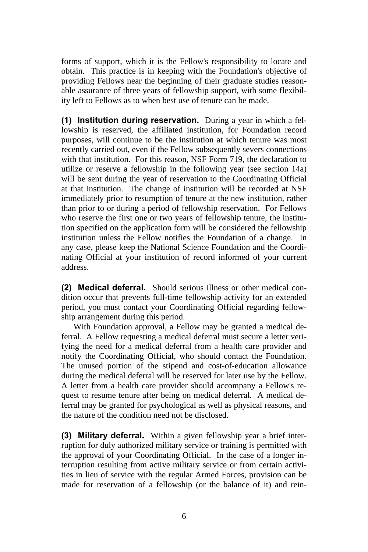forms of support, which it is the Fellow's responsibility to locate and obtain. This practice is in keeping with the Foundation's objective of providing Fellows near the beginning of their graduate studies reasonable assurance of three years of fellowship support, with some flexibility left to Fellows as to when best use of tenure can be made.

**(1) Institution during reservation.** During a year in which a fellowship is reserved, the affiliated institution, for Foundation record purposes, will continue to be the institution at which tenure was most recently carried out, even if the Fellow subsequently severs connections with that institution. For this reason, NSF Form 719, the declaration to utilize or reserve a fellowship in the following year (see section 14a) will be sent during the year of reservation to the Coordinating Official at that institution. The change of institution will be recorded at NSF immediately prior to resumption of tenure at the new institution, rather than prior to or during a period of fellowship reservation. For Fellows who reserve the first one or two years of fellowship tenure, the institution specified on the application form will be considered the fellowship institution unless the Fellow notifies the Foundation of a change. In any case, please keep the National Science Foundation and the Coordinating Official at your institution of record informed of your current address.

**(2) Medical deferral.** Should serious illness or other medical condition occur that prevents full-time fellowship activity for an extended period, you must contact your Coordinating Official regarding fellowship arrangement during this period.

With Foundation approval, a Fellow may be granted a medical deferral. A Fellow requesting a medical deferral must secure a letter verifying the need for a medical deferral from a health care provider and notify the Coordinating Official, who should contact the Foundation. The unused portion of the stipend and cost-of-education allowance during the medical deferral will be reserved for later use by the Fellow. A letter from a health care provider should accompany a Fellow's request to resume tenure after being on medical deferral. A medical deferral may be granted for psychological as well as physical reasons, and the nature of the condition need not be disclosed.

**(3) Military deferral.** Within a given fellowship year a brief interruption for duly authorized military service or training is permitted with the approval of your Coordinating Official. In the case of a longer interruption resulting from active military service or from certain activities in lieu of service with the regular Armed Forces, provision can be made for reservation of a fellowship (or the balance of it) and rein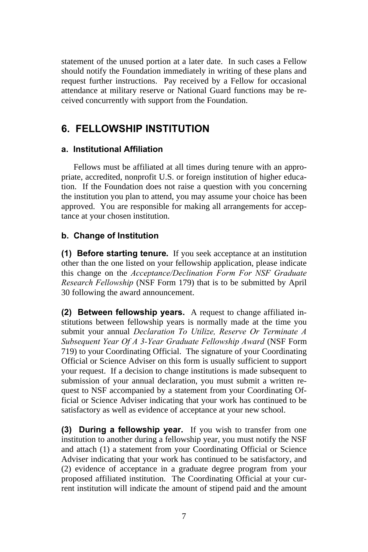statement of the unused portion at a later date. In such cases a Fellow should notify the Foundation immediately in writing of these plans and request further instructions. Pay received by a Fellow for occasional attendance at military reserve or National Guard functions may be received concurrently with support from the Foundation.

## **6. FELLOWSHIP INSTITUTION**

#### **a. Institutional Affiliation**

Fellows must be affiliated at all times during tenure with an appropriate, accredited, nonprofit U.S. or foreign institution of higher education. If the Foundation does not raise a question with you concerning the institution you plan to attend, you may assume your choice has been approved. You are responsible for making all arrangements for acceptance at your chosen institution.

### **b. Change of Institution**

**(1) Before starting tenure.** If you seek acceptance at an institution other than the one listed on your fellowship application, please indicate this change on the *Acceptance/Declination Form For NSF Graduate Research Fellowship* (NSF Form 179) that is to be submitted by April 30 following the award announcement.

**(2) Between fellowship years.** A request to change affiliated institutions between fellowship years is normally made at the time you submit your annual *Declaration To Utilize, Reserve Or Terminate A Subsequent Year Of A 3-Year Graduate Fellowship Award* (NSF Form 719) to your Coordinating Official. The signature of your Coordinating Official or Science Adviser on this form is usually sufficient to support your request. If a decision to change institutions is made subsequent to submission of your annual declaration, you must submit a written request to NSF accompanied by a statement from your Coordinating Official or Science Adviser indicating that your work has continued to be satisfactory as well as evidence of acceptance at your new school.

**(3) During a fellowship year.** If you wish to transfer from one institution to another during a fellowship year, you must notify the NSF and attach (1) a statement from your Coordinating Official or Science Adviser indicating that your work has continued to be satisfactory, and (2) evidence of acceptance in a graduate degree program from your proposed affiliated institution. The Coordinating Official at your current institution will indicate the amount of stipend paid and the amount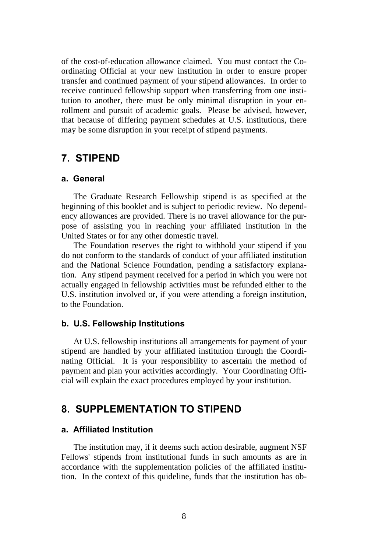of the cost-of-education allowance claimed. You must contact the Coordinating Official at your new institution in order to ensure proper transfer and continued payment of your stipend allowances. In order to receive continued fellowship support when transferring from one institution to another, there must be only minimal disruption in your enrollment and pursuit of academic goals. Please be advised, however, that because of differing payment schedules at U.S. institutions, there may be some disruption in your receipt of stipend payments.

## **7. STIPEND**

#### **a. General**

The Graduate Research Fellowship stipend is as specified at the beginning of this booklet and is subject to periodic review. No dependency allowances are provided. There is no travel allowance for the purpose of assisting you in reaching your affiliated institution in the United States or for any other domestic travel.

The Foundation reserves the right to withhold your stipend if you do not conform to the standards of conduct of your affiliated institution and the National Science Foundation, pending a satisfactory explanation. Any stipend payment received for a period in which you were not actually engaged in fellowship activities must be refunded either to the U.S. institution involved or, if you were attending a foreign institution, to the Foundation.

#### **b. U.S. Fellowship Institutions**

At U.S. fellowship institutions all arrangements for payment of your stipend are handled by your affiliated institution through the Coordinating Official. It is your responsibility to ascertain the method of payment and plan your activities accordingly. Your Coordinating Official will explain the exact procedures employed by your institution.

## **8. SUPPLEMENTATION TO STIPEND**

#### **a. Affiliated Institution**

The institution may, if it deems such action desirable, augment NSF Fellows' stipends from institutional funds in such amounts as are in accordance with the supplementation policies of the affiliated institution. In the context of this quideline, funds that the institution has ob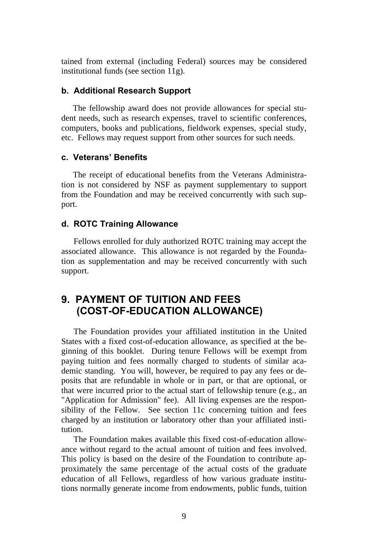tained from external (including Federal) sources may be considered institutional funds (see section 11g).

#### **b. Additional Research Support**

The fellowship award does not provide allowances for special student needs, such as research expenses, travel to scientific conferences, computers, books and publications, fieldwork expenses, special study, etc. Fellows may request support from other sources for such needs.

#### **c. Veterans' Benefits**

The receipt of educational benefits from the Veterans Administration is not considered by NSF as payment supplementary to support from the Foundation and may be received concurrently with such support.

#### **d. ROTC Training Allowance**

Fellows enrolled for duly authorized ROTC training may accept the associated allowance. This allowance is not regarded by the Foundation as supplementation and may be received concurrently with such support.

## **9. PAYMENT OF TUITION AND FEES (COST-OF-EDUCATION ALLOWANCE)**

The Foundation provides your affiliated institution in the United States with a fixed cost-of-education allowance, as specified at the beginning of this booklet. During tenure Fellows will be exempt from paying tuition and fees normally charged to students of similar academic standing. You will, however, be required to pay any fees or deposits that are refundable in whole or in part, or that are optional, or that were incurred prior to the actual start of fellowship tenure (e.g., an "Application for Admission" fee). All living expenses are the responsibility of the Fellow. See section 11c concerning tuition and fees charged by an institution or laboratory other than your affiliated institution.

The Foundation makes available this fixed cost-of-education allowance without regard to the actual amount of tuition and fees involved. This policy is based on the desire of the Foundation to contribute approximately the same percentage of the actual costs of the graduate education of all Fellows, regardless of how various graduate institutions normally generate income from endowments, public funds, tuition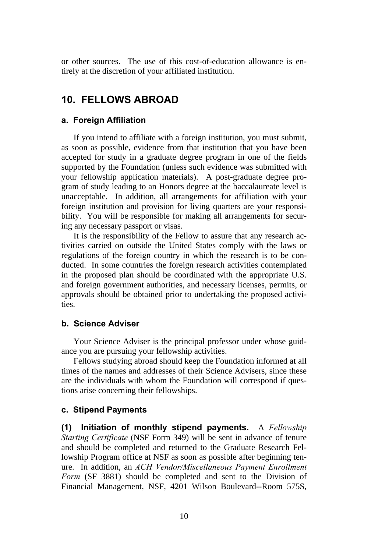or other sources. The use of this cost-of-education allowance is entirely at the discretion of your affiliated institution.

## **10. FELLOWS ABROAD**

#### **a. Foreign Affiliation**

If you intend to affiliate with a foreign institution, you must submit, as soon as possible, evidence from that institution that you have been accepted for study in a graduate degree program in one of the fields supported by the Foundation (unless such evidence was submitted with your fellowship application materials). A post-graduate degree program of study leading to an Honors degree at the baccalaureate level is unacceptable. In addition, all arrangements for affiliation with your foreign institution and provision for living quarters are your responsibility. You will be responsible for making all arrangements for securing any necessary passport or visas.

It is the responsibility of the Fellow to assure that any research activities carried on outside the United States comply with the laws or regulations of the foreign country in which the research is to be conducted. In some countries the foreign research activities contemplated in the proposed plan should be coordinated with the appropriate U.S. and foreign government authorities, and necessary licenses, permits, or approvals should be obtained prior to undertaking the proposed activities.

#### **b. Science Adviser**

Your Science Adviser is the principal professor under whose guidance you are pursuing your fellowship activities.

Fellows studying abroad should keep the Foundation informed at all times of the names and addresses of their Science Advisers, since these are the individuals with whom the Foundation will correspond if questions arise concerning their fellowships.

#### **c. Stipend Payments**

**(1) Initiation of monthly stipend payments.** A *Fellowship Starting Certificate* (NSF Form 349) will be sent in advance of tenure and should be completed and returned to the Graduate Research Fellowship Program office at NSF as soon as possible after beginning tenure. In addition, an *ACH Vendor/Miscellaneous Payment Enrollment Form* (SF 3881) should be completed and sent to the Division of Financial Management, NSF, 4201 Wilson Boulevard--Room 575S,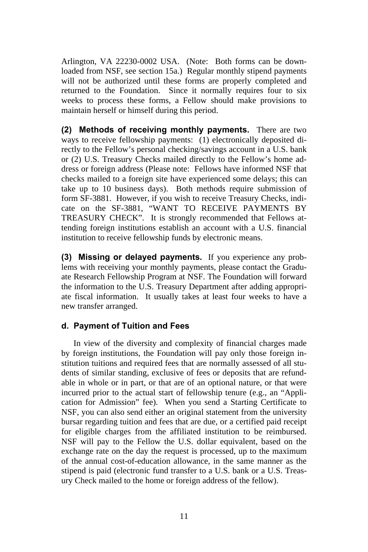Arlington, VA 22230-0002 USA. (Note: Both forms can be downloaded from NSF, see section 15a.) Regular monthly stipend payments will not be authorized until these forms are properly completed and returned to the Foundation. Since it normally requires four to six weeks to process these forms, a Fellow should make provisions to maintain herself or himself during this period.

**(2) Methods of receiving monthly payments.** There are two ways to receive fellowship payments: (1) electronically deposited directly to the Fellow's personal checking/savings account in a U.S. bank or (2) U.S. Treasury Checks mailed directly to the Fellow's home address or foreign address (Please note: Fellows have informed NSF that checks mailed to a foreign site have experienced some delays; this can take up to 10 business days). Both methods require submission of form SF-3881. However, if you wish to receive Treasury Checks, indicate on the SF-3881, "WANT TO RECEIVE PAYMENTS BY TREASURY CHECK". It is strongly recommended that Fellows attending foreign institutions establish an account with a U.S. financial institution to receive fellowship funds by electronic means.

**(3) Missing or delayed payments.** If you experience any problems with receiving your monthly payments, please contact the Graduate Research Fellowship Program at NSF. The Foundation will forward the information to the U.S. Treasury Department after adding appropriate fiscal information. It usually takes at least four weeks to have a new transfer arranged.

#### **d. Payment of Tuition and Fees**

In view of the diversity and complexity of financial charges made by foreign institutions, the Foundation will pay only those foreign institution tuitions and required fees that are normally assessed of all students of similar standing, exclusive of fees or deposits that are refundable in whole or in part, or that are of an optional nature, or that were incurred prior to the actual start of fellowship tenure (e.g., an "Application for Admission" fee). When you send a Starting Certificate to NSF, you can also send either an original statement from the university bursar regarding tuition and fees that are due, or a certified paid receipt for eligible charges from the affiliated institution to be reimbursed. NSF will pay to the Fellow the U.S. dollar equivalent, based on the exchange rate on the day the request is processed, up to the maximum of the annual cost-of-education allowance, in the same manner as the stipend is paid (electronic fund transfer to a U.S. bank or a U.S. Treasury Check mailed to the home or foreign address of the fellow).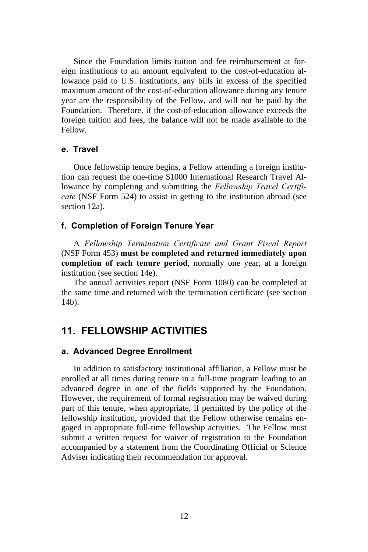Since the Foundation limits tuition and fee reimbursement at foreign institutions to an amount equivalent to the cost-of-education allowance paid to U.S. institutions, any bills in excess of the specified maximum amount of the cost-of-education allowance during any tenure year are the responsibility of the Fellow, and will not be paid by the Foundation. Therefore, if the cost-of-education allowance exceeds the foreign tuition and fees, the balance will not be made available to the Fellow.

#### **e. Travel**

Once fellowship tenure begins, a Fellow attending a foreign institution can request the one-time \$1000 International Research Travel Allowance by completing and submitting the *Fellowship Travel Certificate* (NSF Form 524) to assist in getting to the institution abroad (see section 12a).

#### **f. Completion of Foreign Tenure Year**

A *Fellowship Termination Certificate and Grant Fiscal Report* (NSF Form 453) **must be completed and returned immediately upon completion of each tenure period**, normally one year, at a foreign institution (see section 14e).

The annual activities report (NSF Form 1080) can be completed at the same time and returned with the termination certificate (see section 14b).

## **11. FELLOWSHIP ACTIVITIES**

#### **a. Advanced Degree Enrollment**

In addition to satisfactory institutional affiliation, a Fellow must be enrolled at all times during tenure in a full-time program leading to an advanced degree in one of the fields supported by the Foundation. However, the requirement of formal registration may be waived during part of this tenure, when appropriate, if permitted by the policy of the fellowship institution, provided that the Fellow otherwise remains engaged in appropriate full-time fellowship activities. The Fellow must submit a written request for waiver of registration to the Foundation accompanied by a statement from the Coordinating Official or Science Adviser indicating their recommendation for approval.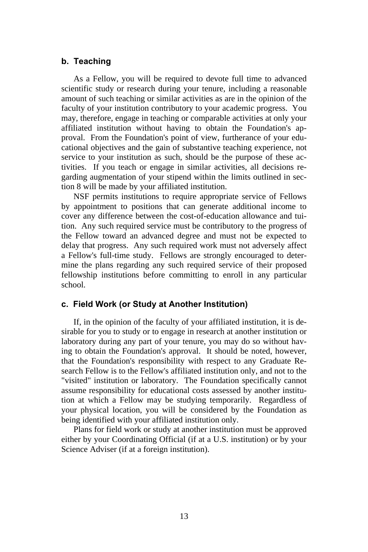#### **b. Teaching**

As a Fellow, you will be required to devote full time to advanced scientific study or research during your tenure, including a reasonable amount of such teaching or similar activities as are in the opinion of the faculty of your institution contributory to your academic progress. You may, therefore, engage in teaching or comparable activities at only your affiliated institution without having to obtain the Foundation's approval. From the Foundation's point of view, furtherance of your educational objectives and the gain of substantive teaching experience, not service to your institution as such, should be the purpose of these activities. If you teach or engage in similar activities, all decisions regarding augmentation of your stipend within the limits outlined in section 8 will be made by your affiliated institution.

NSF permits institutions to require appropriate service of Fellows by appointment to positions that can generate additional income to cover any difference between the cost-of-education allowance and tuition. Any such required service must be contributory to the progress of the Fellow toward an advanced degree and must not be expected to delay that progress. Any such required work must not adversely affect a Fellow's full-time study. Fellows are strongly encouraged to determine the plans regarding any such required service of their proposed fellowship institutions before committing to enroll in any particular school.

#### **c. Field Work (or Study at Another Institution)**

If, in the opinion of the faculty of your affiliated institution, it is desirable for you to study or to engage in research at another institution or laboratory during any part of your tenure, you may do so without having to obtain the Foundation's approval. It should be noted, however, that the Foundation's responsibility with respect to any Graduate Research Fellow is to the Fellow's affiliated institution only, and not to the "visited" institution or laboratory. The Foundation specifically cannot assume responsibility for educational costs assessed by another institution at which a Fellow may be studying temporarily. Regardless of your physical location, you will be considered by the Foundation as being identified with your affiliated institution only.

Plans for field work or study at another institution must be approved either by your Coordinating Official (if at a U.S. institution) or by your Science Adviser (if at a foreign institution).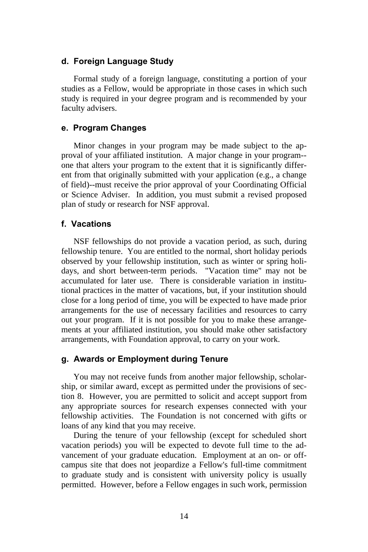#### **d. Foreign Language Study**

Formal study of a foreign language, constituting a portion of your studies as a Fellow, would be appropriate in those cases in which such study is required in your degree program and is recommended by your faculty advisers.

#### **e. Program Changes**

Minor changes in your program may be made subject to the approval of your affiliated institution. A major change in your program- one that alters your program to the extent that it is significantly different from that originally submitted with your application (e.g., a change of field)--must receive the prior approval of your Coordinating Official or Science Adviser. In addition, you must submit a revised proposed plan of study or research for NSF approval.

#### **f. Vacations**

NSF fellowships do not provide a vacation period, as such, during fellowship tenure. You are entitled to the normal, short holiday periods observed by your fellowship institution, such as winter or spring holidays, and short between-term periods. "Vacation time" may not be accumulated for later use. There is considerable variation in institutional practices in the matter of vacations, but, if your institution should close for a long period of time, you will be expected to have made prior arrangements for the use of necessary facilities and resources to carry out your program. If it is not possible for you to make these arrangements at your affiliated institution, you should make other satisfactory arrangements, with Foundation approval, to carry on your work.

#### **g. Awards or Employment during Tenure**

You may not receive funds from another major fellowship, scholarship, or similar award, except as permitted under the provisions of section 8. However, you are permitted to solicit and accept support from any appropriate sources for research expenses connected with your fellowship activities. The Foundation is not concerned with gifts or loans of any kind that you may receive.

During the tenure of your fellowship (except for scheduled short vacation periods) you will be expected to devote full time to the advancement of your graduate education. Employment at an on- or offcampus site that does not jeopardize a Fellow's full-time commitment to graduate study and is consistent with university policy is usually permitted. However, before a Fellow engages in such work, permission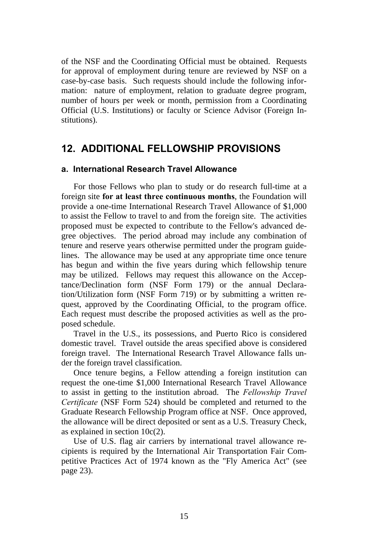of the NSF and the Coordinating Official must be obtained. Requests for approval of employment during tenure are reviewed by NSF on a case-by-case basis. Such requests should include the following information: nature of employment, relation to graduate degree program, number of hours per week or month, permission from a Coordinating Official (U.S. Institutions) or faculty or Science Advisor (Foreign Institutions).

## **12. ADDITIONAL FELLOWSHIP PROVISIONS**

#### **a. International Research Travel Allowance**

For those Fellows who plan to study or do research full-time at a foreign site **for at least three continuous months**, the Foundation will provide a one-time International Research Travel Allowance of \$1,000 to assist the Fellow to travel to and from the foreign site. The activities proposed must be expected to contribute to the Fellow's advanced degree objectives. The period abroad may include any combination of tenure and reserve years otherwise permitted under the program guidelines. The allowance may be used at any appropriate time once tenure has begun and within the five years during which fellowship tenure may be utilized. Fellows may request this allowance on the Acceptance/Declination form (NSF Form 179) or the annual Declaration/Utilization form (NSF Form 719) or by submitting a written request, approved by the Coordinating Official, to the program office. Each request must describe the proposed activities as well as the proposed schedule.

Travel in the U.S., its possessions, and Puerto Rico is considered domestic travel. Travel outside the areas specified above is considered foreign travel. The International Research Travel Allowance falls under the foreign travel classification.

Once tenure begins, a Fellow attending a foreign institution can request the one-time \$1,000 International Research Travel Allowance to assist in getting to the institution abroad. The *Fellowship Travel Certificate* (NSF Form 524) should be completed and returned to the Graduate Research Fellowship Program office at NSF. Once approved, the allowance will be direct deposited or sent as a U.S. Treasury Check, as explained in section 10c(2).

Use of U.S. flag air carriers by international travel allowance recipients is required by the International Air Transportation Fair Competitive Practices Act of 1974 known as the "Fly America Act" (see page 23).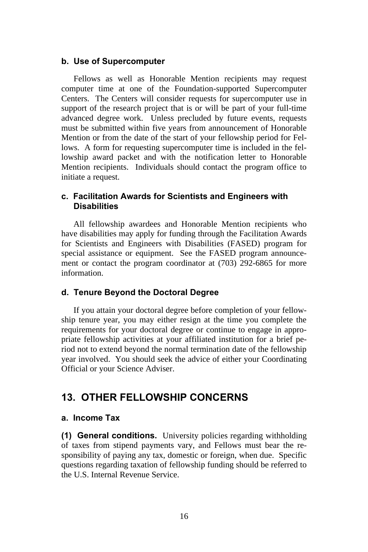#### **b. Use of Supercomputer**

Fellows as well as Honorable Mention recipients may request computer time at one of the Foundation-supported Supercomputer Centers. The Centers will consider requests for supercomputer use in support of the research project that is or will be part of your full-time advanced degree work. Unless precluded by future events, requests must be submitted within five years from announcement of Honorable Mention or from the date of the start of your fellowship period for Fellows. A form for requesting supercomputer time is included in the fellowship award packet and with the notification letter to Honorable Mention recipients. Individuals should contact the program office to initiate a request.

#### **c. Facilitation Awards for Scientists and Engineers with Disabilities**

All fellowship awardees and Honorable Mention recipients who have disabilities may apply for funding through the Facilitation Awards for Scientists and Engineers with Disabilities (FASED) program for special assistance or equipment. See the FASED program announcement or contact the program coordinator at (703) 292-6865 for more information.

#### **d. Tenure Beyond the Doctoral Degree**

If you attain your doctoral degree before completion of your fellowship tenure year, you may either resign at the time you complete the requirements for your doctoral degree or continue to engage in appropriate fellowship activities at your affiliated institution for a brief period not to extend beyond the normal termination date of the fellowship year involved. You should seek the advice of either your Coordinating Official or your Science Adviser.

## **13. OTHER FELLOWSHIP CONCERNS**

#### **a. Income Tax**

**(1) General conditions.** University policies regarding withholding of taxes from stipend payments vary, and Fellows must bear the responsibility of paying any tax, domestic or foreign, when due. Specific questions regarding taxation of fellowship funding should be referred to the U.S. Internal Revenue Service.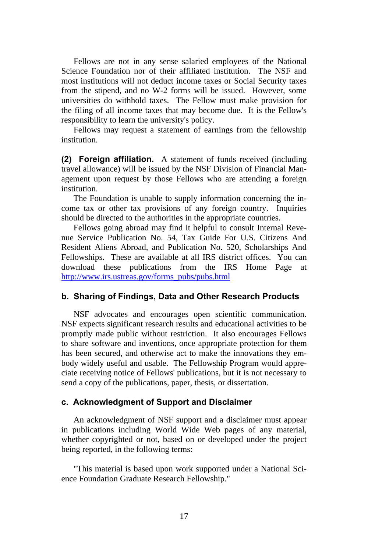Fellows are not in any sense salaried employees of the National Science Foundation nor of their affiliated institution. The NSF and most institutions will not deduct income taxes or Social Security taxes from the stipend, and no W-2 forms will be issued. However, some universities do withhold taxes. The Fellow must make provision for the filing of all income taxes that may become due. It is the Fellow's responsibility to learn the university's policy.

Fellows may request a statement of earnings from the fellowship institution.

**(2) Foreign affiliation.** A statement of funds received (including travel allowance) will be issued by the NSF Division of Financial Management upon request by those Fellows who are attending a foreign institution.

The Foundation is unable to supply information concerning the income tax or other tax provisions of any foreign country. Inquiries should be directed to the authorities in the appropriate countries.

Fellows going abroad may find it helpful to consult Internal Revenue Service Publication No. 54, Tax Guide For U.S. Citizens And Resident Aliens Abroad, and Publication No. 520, Scholarships And Fellowships. These are available at all IRS district offices. You can download these publications from the IRS Home Page at [http://www.irs.ustreas.gov/forms\\_pubs/pubs.html](http://www.irs.ustreas.gov/forms_pubs/pubs.html)

#### **b. Sharing of Findings, Data and Other Research Products**

NSF advocates and encourages open scientific communication. NSF expects significant research results and educational activities to be promptly made public without restriction. It also encourages Fellows to share software and inventions, once appropriate protection for them has been secured, and otherwise act to make the innovations they embody widely useful and usable. The Fellowship Program would appreciate receiving notice of Fellows' publications, but it is not necessary to send a copy of the publications, paper, thesis, or dissertation.

#### **c. Acknowledgment of Support and Disclaimer**

An acknowledgment of NSF support and a disclaimer must appear in publications including World Wide Web pages of any material, whether copyrighted or not, based on or developed under the project being reported, in the following terms:

"This material is based upon work supported under a National Science Foundation Graduate Research Fellowship."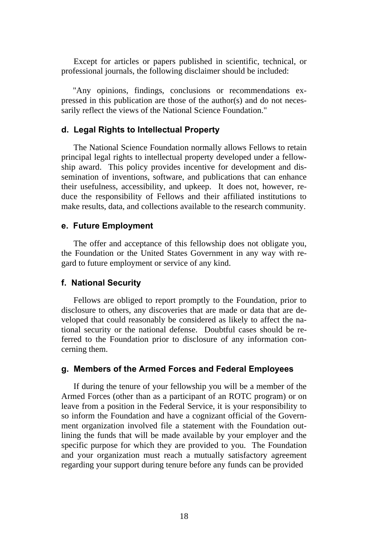Except for articles or papers published in scientific, technical, or professional journals, the following disclaimer should be included:

"Any opinions, findings, conclusions or recommendations expressed in this publication are those of the author(s) and do not necessarily reflect the views of the National Science Foundation."

#### **d. Legal Rights to Intellectual Property**

The National Science Foundation normally allows Fellows to retain principal legal rights to intellectual property developed under a fellowship award. This policy provides incentive for development and dissemination of inventions, software, and publications that can enhance their usefulness, accessibility, and upkeep. It does not, however, reduce the responsibility of Fellows and their affiliated institutions to make results, data, and collections available to the research community.

#### **e. Future Employment**

The offer and acceptance of this fellowship does not obligate you, the Foundation or the United States Government in any way with regard to future employment or service of any kind.

#### **f. National Security**

Fellows are obliged to report promptly to the Foundation, prior to disclosure to others, any discoveries that are made or data that are developed that could reasonably be considered as likely to affect the national security or the national defense. Doubtful cases should be referred to the Foundation prior to disclosure of any information concerning them.

#### **g. Members of the Armed Forces and Federal Employees**

If during the tenure of your fellowship you will be a member of the Armed Forces (other than as a participant of an ROTC program) or on leave from a position in the Federal Service, it is your responsibility to so inform the Foundation and have a cognizant official of the Government organization involved file a statement with the Foundation outlining the funds that will be made available by your employer and the specific purpose for which they are provided to you. The Foundation and your organization must reach a mutually satisfactory agreement regarding your support during tenure before any funds can be provided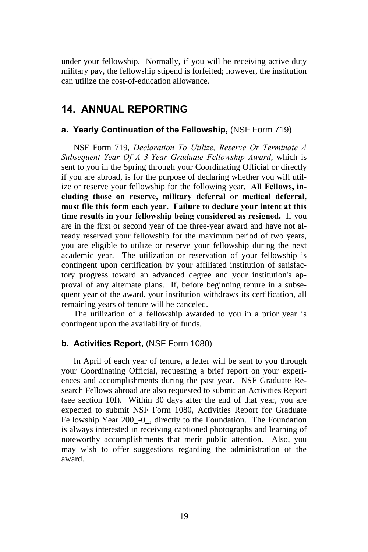under your fellowship. Normally, if you will be receiving active duty military pay, the fellowship stipend is forfeited; however, the institution can utilize the cost-of-education allowance.

## **14. ANNUAL REPORTING**

#### **a. Yearly Continuation of the Fellowship,** (NSF Form 719)

NSF Form 719, *Declaration To Utilize, Reserve Or Terminate A Subsequent Year Of A 3-Year Graduate Fellowship Award*, which is sent to you in the Spring through your Coordinating Official or directly if you are abroad, is for the purpose of declaring whether you will utilize or reserve your fellowship for the following year. **All Fellows, including those on reserve, military deferral or medical deferral, must file this form each year. Failure to declare your intent at this time results in your fellowship being considered as resigned.** If you are in the first or second year of the three-year award and have not already reserved your fellowship for the maximum period of two years, you are eligible to utilize or reserve your fellowship during the next academic year. The utilization or reservation of your fellowship is contingent upon certification by your affiliated institution of satisfactory progress toward an advanced degree and your institution's approval of any alternate plans. If, before beginning tenure in a subsequent year of the award, your institution withdraws its certification, all remaining years of tenure will be canceled.

The utilization of a fellowship awarded to you in a prior year is contingent upon the availability of funds.

#### **b. Activities Report,** (NSF Form 1080)

In April of each year of tenure, a letter will be sent to you through your Coordinating Official, requesting a brief report on your experiences and accomplishments during the past year. NSF Graduate Research Fellows abroad are also requested to submit an Activities Report (see section 10f). Within 30 days after the end of that year, you are expected to submit NSF Form 1080, Activities Report for Graduate Fellowship Year 200\_-0\_, directly to the Foundation. The Foundation is always interested in receiving captioned photographs and learning of noteworthy accomplishments that merit public attention. Also, you may wish to offer suggestions regarding the administration of the award.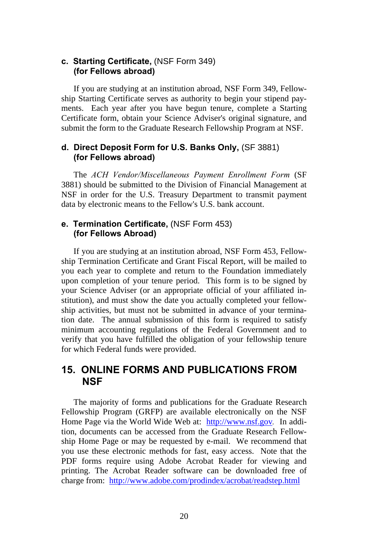#### **c. Starting Certificate,** (NSF Form 349) **(for Fellows abroad)**

If you are studying at an institution abroad, NSF Form 349, Fellowship Starting Certificate serves as authority to begin your stipend payments. Each year after you have begun tenure, complete a Starting Certificate form, obtain your Science Adviser's original signature, and submit the form to the Graduate Research Fellowship Program at NSF.

#### **d. Direct Deposit Form for U.S. Banks Only,** (SF 3881) **(for Fellows abroad)**

The *ACH Vendor/Miscellaneous Payment Enrollment Form* (SF 3881) should be submitted to the Division of Financial Management at NSF in order for the U.S. Treasury Department to transmit payment data by electronic means to the Fellow's U.S. bank account.

#### **e. Termination Certificate,** (NSF Form 453) **(for Fellows Abroad)**

If you are studying at an institution abroad, NSF Form 453, Fellowship Termination Certificate and Grant Fiscal Report, will be mailed to you each year to complete and return to the Foundation immediately upon completion of your tenure period. This form is to be signed by your Science Adviser (or an appropriate official of your affiliated institution), and must show the date you actually completed your fellowship activities, but must not be submitted in advance of your termination date. The annual submission of this form is required to satisfy minimum accounting regulations of the Federal Government and to verify that you have fulfilled the obligation of your fellowship tenure for which Federal funds were provided.

## **15. ONLINE FORMS AND PUBLICATIONS FROM NSF**

The majority of forms and publications for the Graduate Research Fellowship Program (GRFP) are available electronically on the NSF Home Page via the World Wide Web at: <http://www.nsf.gov>*.* In addition, documents can be accessed from the Graduate Research Fellowship Home Page or may be requested by e-mail. We recommend that you use these electronic methods for fast, easy access. Note that the PDF forms require using Adobe Acrobat Reader for viewing and printing. The Acrobat Reader software can be downloaded free of charge from: <http://www.adobe.com/prodindex/acrobat/readstep.html>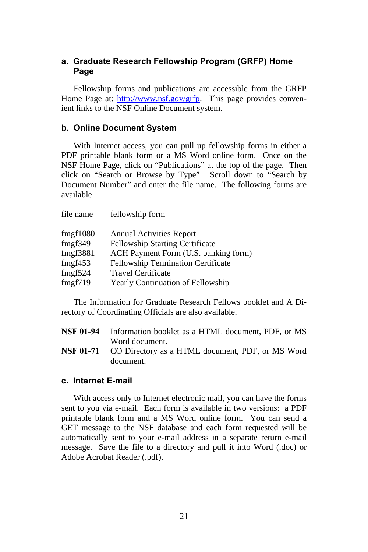#### **a. Graduate Research Fellowship Program (GRFP) Home Page**

Fellowship forms and publications are accessible from the GRFP Home Page at: [http://www.nsf.gov/grfp.](http://www.nsf.gov/grfp) This page provides convenient links to the NSF Online Document system.

#### **b. Online Document System**

With Internet access, you can pull up fellowship forms in either a PDF printable blank form or a MS Word online form. Once on the NSF Home Page, click on "Publications" at the top of the page. Then click on "Search or Browse by Type". Scroll down to "Search by Document Number" and enter the file name. The following forms are available.

| file name | fellowship form                          |
|-----------|------------------------------------------|
| fmgf1080  | <b>Annual Activities Report</b>          |
| fmgf349   | <b>Fellowship Starting Certificate</b>   |
| fmgf3881  | ACH Payment Form (U.S. banking form)     |
| fmgf453   | Fellowship Termination Certificate       |
| fmgf524   | <b>Travel Certificate</b>                |
| fmgf719   | <b>Yearly Continuation of Fellowship</b> |
|           |                                          |

The Information for Graduate Research Fellows booklet and A Directory of Coordinating Officials are also available.

| NSF 01-94 | Information booklet as a HTML document. PDF, or MS                |
|-----------|-------------------------------------------------------------------|
|           | Word document.                                                    |
|           | <b>NSF 01-71</b> CO Directory as a HTML document, PDF, or MS Word |
|           | document.                                                         |

#### **c. Internet E-mail**

With access only to Internet electronic mail, you can have the forms sent to you via e-mail. Each form is available in two versions: a PDF printable blank form and a MS Word online form. You can send a GET message to the NSF database and each form requested will be automatically sent to your e-mail address in a separate return e-mail message. Save the file to a directory and pull it into Word (.doc) or Adobe Acrobat Reader (.pdf).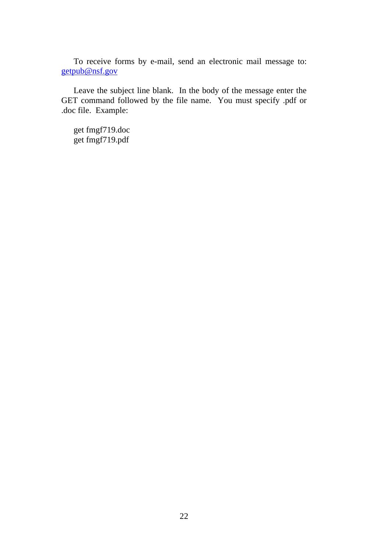To receive forms by e-mail, send an electronic mail message to: [getpub@nsf.gov](mailto:getpub@nsf.gov)

Leave the subject line blank. In the body of the message enter the GET command followed by the file name. You must specify .pdf or .doc file. Example:

get fmgf719.doc get fmgf719.pdf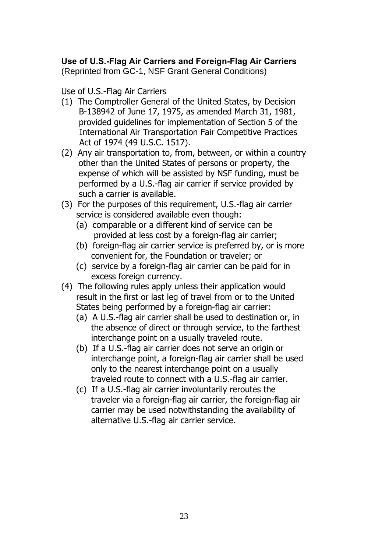## **Use of U.S.-Flag Air Carriers and Foreign-Flag Air Carriers**

(Reprinted from GC-1, NSF Grant General Conditions)

#### Use of U.S.-Flag Air Carriers

- (1) The Comptroller General of the United States, by Decision B-138942 of June 17, 1975, as amended March 31, 1981, provided guidelines for implementation of Section 5 of the International Air Transportation Fair Competitive Practices Act of 1974 (49 U.S.C. 1517).
- (2) Any air transportation to, from, between, or within a country other than the United States of persons or property, the expense of which will be assisted by NSF funding, must be performed by a U.S.-flag air carrier if service provided by such a carrier is available.
- (3) For the purposes of this requirement, U.S.-flag air carrier service is considered available even though:
	- (a) comparable or a different kind of service can be provided at less cost by a foreign-flag air carrier;
	- (b) foreign-flag air carrier service is preferred by, or is more convenient for, the Foundation or traveler; or
	- (c) service by a foreign-flag air carrier can be paid for in excess foreign currency.
- (4) The following rules apply unless their application would result in the first or last leg of travel from or to the United States being performed by a foreign-flag air carrier:
	- (a) A U.S.-flag air carrier shall be used to destination or, in the absence of direct or through service, to the farthest interchange point on a usually traveled route.
	- (b) If a U.S.-flag air carrier does not serve an origin or interchange point, a foreign-flag air carrier shall be used only to the nearest interchange point on a usually traveled route to connect with a U.S.-flag air carrier.
	- (c) If a U.S.-flag air carrier involuntarily reroutes the traveler via a foreign-flag air carrier, the foreign-flag air carrier may be used notwithstanding the availability of alternative U.S.-flag air carrier service.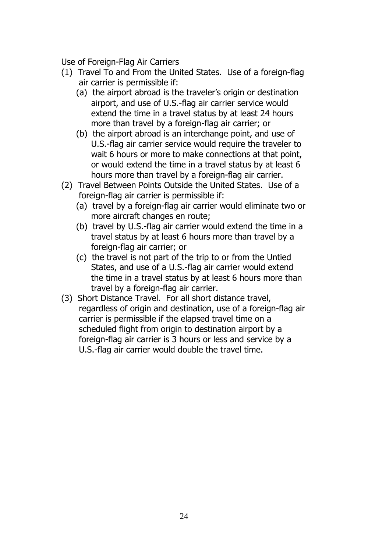Use of Foreign-Flag Air Carriers

- (1) Travel To and From the United States. Use of a foreign-flag air carrier is permissible if:
	- (a) the airport abroad is the traveler's origin or destination airport, and use of U.S.-flag air carrier service would extend the time in a travel status by at least 24 hours more than travel by a foreign-flag air carrier; or
	- (b) the airport abroad is an interchange point, and use of U.S.-flag air carrier service would require the traveler to wait 6 hours or more to make connections at that point, or would extend the time in a travel status by at least 6 hours more than travel by a foreign-flag air carrier.
- (2) Travel Between Points Outside the United States. Use of a foreign-flag air carrier is permissible if:
	- (a) travel by a foreign-flag air carrier would eliminate two or more aircraft changes en route;
	- (b) travel by U.S.-flag air carrier would extend the time in a travel status by at least 6 hours more than travel by a foreign-flag air carrier; or
	- (c) the travel is not part of the trip to or from the Untied States, and use of a U.S.-flag air carrier would extend the time in a travel status by at least 6 hours more than travel by a foreign-flag air carrier.
- (3) Short Distance Travel. For all short distance travel, regardless of origin and destination, use of a foreign-flag air carrier is permissible if the elapsed travel time on a scheduled flight from origin to destination airport by a foreign-flag air carrier is 3 hours or less and service by a U.S.-flag air carrier would double the travel time.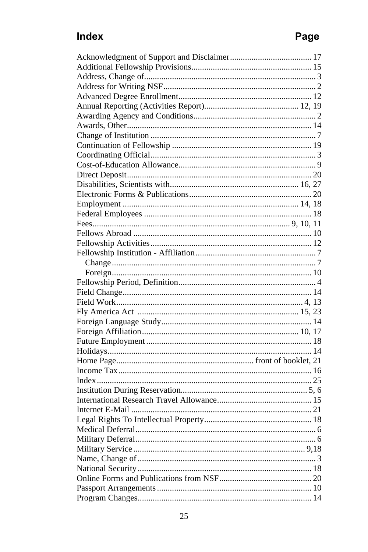## Index

# Page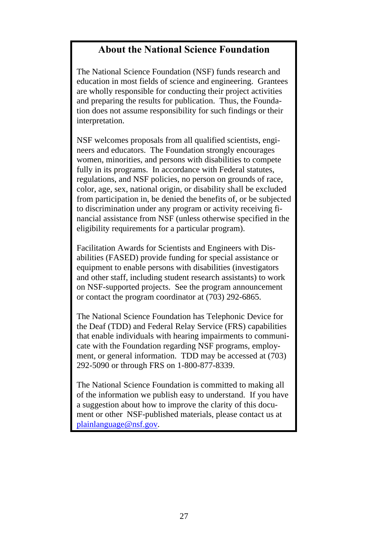## **About the National Science Foundation**

The National Science Foundation (NSF) funds research and education in most fields of science and engineering. Grantees are wholly responsible for conducting their project activities and preparing the results for publication. Thus, the Foundation does not assume responsibility for such findings or their interpretation.

NSF welcomes proposals from all qualified scientists, engineers and educators. The Foundation strongly encourages women, minorities, and persons with disabilities to compete fully in its programs. In accordance with Federal statutes, regulations, and NSF policies, no person on grounds of race, color, age, sex, national origin, or disability shall be excluded from participation in, be denied the benefits of, or be subjected to discrimination under any program or activity receiving financial assistance from NSF (unless otherwise specified in the eligibility requirements for a particular program).

Facilitation Awards for Scientists and Engineers with Disabilities (FASED) provide funding for special assistance or equipment to enable persons with disabilities (investigators and other staff, including student research assistants) to work on NSF-supported projects. See the program announcement or contact the program coordinator at (703) 292-6865.

The National Science Foundation has Telephonic Device for the Deaf (TDD) and Federal Relay Service (FRS) capabilities that enable individuals with hearing impairments to communicate with the Foundation regarding NSF programs, employment, or general information. TDD may be accessed at (703) 292-5090 or through FRS on 1-800-877-8339.

The National Science Foundation is committed to making all of the information we publish easy to understand. If you have a suggestion about how to improve the clarity of this document or other NSF-published materials, please contact us at [plainlanguage@nsf.gov.](mailto:plainlanguage@nsf.gov)